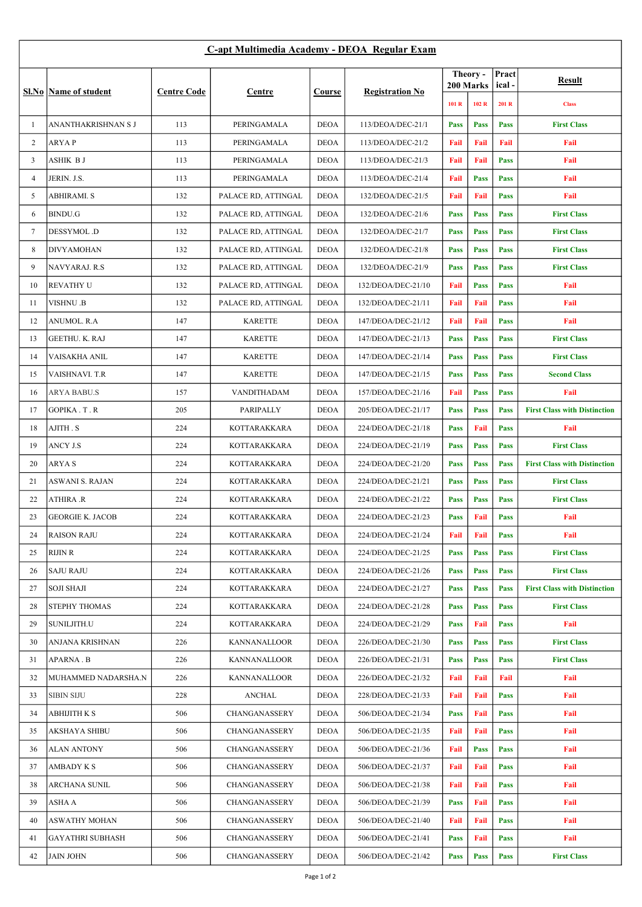## C-apt Multimedia Academy - DEOA Regular Exam

|                | Sl.No   Name of student    | <b>Centre Code</b> | Centre              | Course      | <b>Registration No</b> | Theory -<br>200 Marks |             | Pract<br>ical- | Result                              |
|----------------|----------------------------|--------------------|---------------------|-------------|------------------------|-----------------------|-------------|----------------|-------------------------------------|
|                |                            |                    |                     |             |                        | 101 R                 | 102 R       | 201 R          | <b>Class</b>                        |
| $\mathbf{1}$   | <b>ANANTHAKRISHNAN S J</b> | 113                | PERINGAMALA         | <b>DEOA</b> | 113/DEOA/DEC-21/1      | <b>Pass</b>           | <b>Pass</b> | <b>Pass</b>    | <b>First Class</b>                  |
| 2              | <b>ARYAP</b>               | 113                | PERINGAMALA         | <b>DEOA</b> | 113/DEOA/DEC-21/2      | Fail                  | Fail        | Fail           | Fail                                |
| 3              | ASHIK B J                  | 113                | PERINGAMALA         | <b>DEOA</b> | 113/DEOA/DEC-21/3      | Fail                  | Fail        | <b>Pass</b>    | Fail                                |
| $\overline{4}$ | JERIN. J.S.                | 113                | PERINGAMALA         | <b>DEOA</b> | 113/DEOA/DEC-21/4      | Fail                  | <b>Pass</b> | <b>Pass</b>    | Fail                                |
| 5              | <b>ABHIRAMI. S</b>         | 132                | PALACE RD, ATTINGAL | <b>DEOA</b> | 132/DEOA/DEC-21/5      | Fail                  | Fail        | <b>Pass</b>    | Fail                                |
| 6              | <b>BINDU.G</b>             | 132                | PALACE RD, ATTINGAL | <b>DEOA</b> | 132/DEOA/DEC-21/6      | <b>Pass</b>           | <b>Pass</b> | <b>Pass</b>    | <b>First Class</b>                  |
| 7              | DESSYMOL.D                 | 132                | PALACE RD, ATTINGAL | <b>DEOA</b> | 132/DEOA/DEC-21/7      | <b>Pass</b>           | <b>Pass</b> | <b>Pass</b>    | <b>First Class</b>                  |
| 8              | <b>DIVYAMOHAN</b>          | 132                | PALACE RD, ATTINGAL | <b>DEOA</b> | 132/DEOA/DEC-21/8      | <b>Pass</b>           | <b>Pass</b> | <b>Pass</b>    | <b>First Class</b>                  |
| 9              | NAVYARAJ. R.S              | 132                | PALACE RD, ATTINGAL | <b>DEOA</b> | 132/DEOA/DEC-21/9      | <b>Pass</b>           | <b>Pass</b> | <b>Pass</b>    | <b>First Class</b>                  |
| 10             | <b>REVATHY U</b>           | 132                | PALACE RD, ATTINGAL | <b>DEOA</b> | 132/DEOA/DEC-21/10     | Fail                  | <b>Pass</b> | <b>Pass</b>    | Fail                                |
| 11             | VISHNU .B                  | 132                | PALACE RD, ATTINGAL | <b>DEOA</b> | 132/DEOA/DEC-21/11     | Fail                  | Fail        | <b>Pass</b>    | Fail                                |
| 12             | <b>ANUMOL. R.A</b>         | 147                | <b>KARETTE</b>      | <b>DEOA</b> | 147/DEOA/DEC-21/12     | Fail                  | Fail        | <b>Pass</b>    | Fail                                |
| 13             | <b>GEETHU. K. RAJ</b>      | 147                | <b>KARETTE</b>      | <b>DEOA</b> | 147/DEOA/DEC-21/13     | <b>Pass</b>           | Pass        | <b>Pass</b>    | <b>First Class</b>                  |
| 14             | VAISAKHA ANIL              | 147                | <b>KARETTE</b>      | <b>DEOA</b> | 147/DEOA/DEC-21/14     | <b>Pass</b>           | <b>Pass</b> | <b>Pass</b>    | <b>First Class</b>                  |
| 15             | <b>VAISHNAVI. T.R</b>      | 147                | <b>KARETTE</b>      | <b>DEOA</b> | 147/DEOA/DEC-21/15     | <b>Pass</b>           | <b>Pass</b> | <b>Pass</b>    | <b>Second Class</b>                 |
| 16             | <b>ARYA BABU.S</b>         | 157                | VANDITHADAM         | <b>DEOA</b> | 157/DEOA/DEC-21/16     | Fail                  | <b>Pass</b> | <b>Pass</b>    | Fail                                |
| 17             | <b>GOPIKA.T.R</b>          | 205                | PARIPALLY           | <b>DEOA</b> | 205/DEOA/DEC-21/17     | <b>Pass</b>           | <b>Pass</b> | <b>Pass</b>    | <b>First Class with Distinction</b> |
| 18             | AJITH . S                  | 224                | KOTTARAKKARA        | <b>DEOA</b> | 224/DEOA/DEC-21/18     | <b>Pass</b>           | Fail        | <b>Pass</b>    | Fail                                |
| 19             | ANCY J.S                   | 224                | KOTTARAKKARA        | <b>DEOA</b> | 224/DEOA/DEC-21/19     | <b>Pass</b>           | <b>Pass</b> | <b>Pass</b>    | <b>First Class</b>                  |
| 20             | <b>ARYAS</b>               | 224                | KOTTARAKKARA        | <b>DEOA</b> | 224/DEOA/DEC-21/20     | <b>Pass</b>           | <b>Pass</b> | <b>Pass</b>    | <b>First Class with Distinction</b> |
| 21             | ASWANI S. RAJAN            | 224                | KOTTARAKKARA        | <b>DEOA</b> | 224/DEOA/DEC-21/21     | <b>Pass</b>           | <b>Pass</b> | <b>Pass</b>    | <b>First Class</b>                  |
| 22             | <b>ATHIRA .R</b>           | 224                | KOTTARAKKARA        | <b>DEOA</b> | 224/DEOA/DEC-21/22     | <b>Pass</b>           | <b>Pass</b> | <b>Pass</b>    | <b>First Class</b>                  |
| 23             | <b>GEORGIE K. JACOB</b>    | 224                | KOTTARAKKARA        | <b>DEOA</b> | 224/DEOA/DEC-21/23     | <b>Pass</b>           | Fail        | <b>Pass</b>    | Fail                                |
| 24             | <b>RAISON RAJU</b>         | 224                | KOTTARAKKARA        | DEOA        | 224/DEOA/DEC-21/24     | Fail                  | Fail        | <b>Pass</b>    | Fail                                |
| 25             | RIJIN R                    | 224                | KOTTARAKKARA        | <b>DEOA</b> | 224/DEOA/DEC-21/25     | <b>Pass</b>           | <b>Pass</b> | <b>Pass</b>    | <b>First Class</b>                  |
| 26             | <b>SAJU RAJU</b>           | 224                | KOTTARAKKARA        | <b>DEOA</b> | 224/DEOA/DEC-21/26     | <b>Pass</b>           | <b>Pass</b> | <b>Pass</b>    | <b>First Class</b>                  |
| 27             | <b>SOJI SHAJI</b>          | 224                | <b>KOTTARAKKARA</b> | <b>DEOA</b> | 224/DEOA/DEC-21/27     | <b>Pass</b>           | <b>Pass</b> | <b>Pass</b>    | <b>First Class with Distinction</b> |
| 28             | <b>STEPHY THOMAS</b>       | 224                | KOTTARAKKARA        | <b>DEOA</b> | 224/DEOA/DEC-21/28     | <b>Pass</b>           | <b>Pass</b> | <b>Pass</b>    | <b>First Class</b>                  |
| 29             | SUNILJITH.U                | 224                | KOTTARAKKARA        | <b>DEOA</b> | 224/DEOA/DEC-21/29     | <b>Pass</b>           | Fail        | <b>Pass</b>    | Fail                                |
| 30             | ANJANA KRISHNAN            | 226                | KANNANALLOOR        | <b>DEOA</b> | 226/DEOA/DEC-21/30     | <b>Pass</b>           | <b>Pass</b> | <b>Pass</b>    | <b>First Class</b>                  |
| 31             | <b>APARNA . B</b>          | 226                | KANNANALLOOR        | <b>DEOA</b> | 226/DEOA/DEC-21/31     | <b>Pass</b>           | <b>Pass</b> | <b>Pass</b>    | <b>First Class</b>                  |
| 32             | MUHAMMED NADARSHA.N        | 226                | KANNANALLOOR        | <b>DEOA</b> | 226/DEOA/DEC-21/32     | Fail                  | Fail        | Fail           | Fail                                |
| 33             | <b>SIBIN SIJU</b>          | 228                | <b>ANCHAL</b>       | <b>DEOA</b> | 228/DEOA/DEC-21/33     | Fail                  | Fail        | <b>Pass</b>    | Fail                                |
| 34             | ABHIJITH K S               | 506                | CHANGANASSERY       | <b>DEOA</b> | 506/DEOA/DEC-21/34     | <b>Pass</b>           | Fail        | <b>Pass</b>    | Fail                                |
| 35             | AKSHAYA SHIBU              | 506                | CHANGANASSERY       | <b>DEOA</b> | 506/DEOA/DEC-21/35     | Fail                  | Fail        | <b>Pass</b>    | Fail                                |
| 36             | <b>ALAN ANTONY</b>         | 506                | CHANGANASSERY       | <b>DEOA</b> | 506/DEOA/DEC-21/36     | Fail                  | <b>Pass</b> | <b>Pass</b>    | Fail                                |
| 37             | <b>AMBADY K S</b>          | 506                | CHANGANASSERY       | <b>DEOA</b> | 506/DEOA/DEC-21/37     | Fail                  | Fail        | <b>Pass</b>    | Fail                                |
| 38             | ARCHANA SUNIL              | 506                | CHANGANASSERY       | <b>DEOA</b> | 506/DEOA/DEC-21/38     | Fail                  | Fail        | <b>Pass</b>    | Fail                                |
| 39             | ASHA A                     | 506                | CHANGANASSERY       | <b>DEOA</b> | 506/DEOA/DEC-21/39     | <b>Pass</b>           | Fail        | <b>Pass</b>    | Fail                                |
| 40             | <b>ASWATHY MOHAN</b>       | 506                | CHANGANASSERY       | <b>DEOA</b> | 506/DEOA/DEC-21/40     | Fail                  | Fail        | <b>Pass</b>    | Fail                                |
| 41             | <b>GAYATHRI SUBHASH</b>    | 506                | CHANGANASSERY       | <b>DEOA</b> | 506/DEOA/DEC-21/41     | <b>Pass</b>           | Fail        | <b>Pass</b>    | Fail                                |
| 42             | <b>JAIN JOHN</b>           | 506                | CHANGANASSERY       | <b>DEOA</b> | 506/DEOA/DEC-21/42     | <b>Pass</b>           | <b>Pass</b> | <b>Pass</b>    | <b>First Class</b>                  |